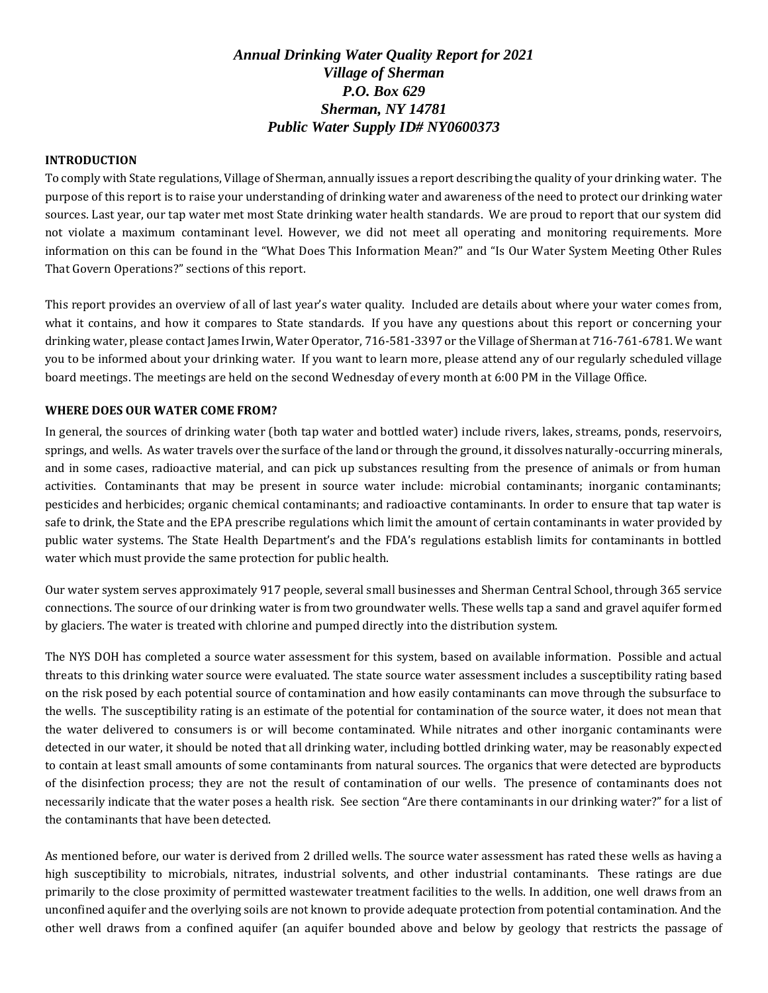# *Annual Drinking Water Quality Report for 2021 Village of Sherman P.O. Box 629 Sherman, NY 14781 Public Water Supply ID# NY0600373*

## **INTRODUCTION**

To comply with State regulations, Village of Sherman, annually issues a report describing the quality of your drinking water. The purpose of this report is to raise your understanding of drinking water and awareness of the need to protect our drinking water sources. Last year, our tap water met most State drinking water health standards. We are proud to report that our system did not violate a maximum contaminant level. However, we did not meet all operating and monitoring requirements. More information on this can be found in the "What Does This Information Mean?" and "Is Our Water System Meeting Other Rules That Govern Operations?" sections of this report.

This report provides an overview of all of last year's water quality. Included are details about where your water comes from, what it contains, and how it compares to State standards. If you have any questions about this report or concerning your drinking water, please contact James Irwin, Water Operator, 716-581-3397 or the Village of Sherman at 716-761-6781. We want you to be informed about your drinking water. If you want to learn more, please attend any of our regularly scheduled village board meetings. The meetings are held on the second Wednesday of every month at 6:00 PM in the Village Office.

## **WHERE DOES OUR WATER COME FROM?**

In general, the sources of drinking water (both tap water and bottled water) include rivers, lakes, streams, ponds, reservoirs, springs, and wells. As water travels over the surface of the land or through the ground, it dissolves naturally-occurring minerals, and in some cases, radioactive material, and can pick up substances resulting from the presence of animals or from human activities. Contaminants that may be present in source water include: microbial contaminants; inorganic contaminants; pesticides and herbicides; organic chemical contaminants; and radioactive contaminants. In order to ensure that tap water is safe to drink, the State and the EPA prescribe regulations which limit the amount of certain contaminants in water provided by public water systems. The State Health Department's and the FDA's regulations establish limits for contaminants in bottled water which must provide the same protection for public health.

Our water system serves approximately 917 people, several small businesses and Sherman Central School, through 365 service connections. The source of our drinking water is from two groundwater wells. These wells tap a sand and gravel aquifer formed by glaciers. The water is treated with chlorine and pumped directly into the distribution system.

The NYS DOH has completed a source water assessment for this system, based on available information. Possible and actual threats to this drinking water source were evaluated. The state source water assessment includes a susceptibility rating based on the risk posed by each potential source of contamination and how easily contaminants can move through the subsurface to the wells. The susceptibility rating is an estimate of the potential for contamination of the source water, it does not mean that the water delivered to consumers is or will become contaminated*.* While nitrates and other inorganic contaminants were detected in our water, it should be noted that all drinking water, including bottled drinking water, may be reasonably expected to contain at least small amounts of some contaminants from natural sources. The organics that were detected are byproducts of the disinfection process; they are not the result of contamination of our wells*.* The presence of contaminants does not necessarily indicate that the water poses a health risk. See section "Are there contaminants in our drinking water?" for a list of the contaminants that have been detected.

As mentioned before, our water is derived from 2 drilled wells. The source water assessment has rated these wells as having a high susceptibility to microbials, nitrates, industrial solvents, and other industrial contaminants. These ratings are due primarily to the close proximity of permitted wastewater treatment facilities to the wells. In addition, one well draws from an unconfined aquifer and the overlying soils are not known to provide adequate protection from potential contamination. And the other well draws from a confined aquifer (an aquifer bounded above and below by geology that restricts the passage of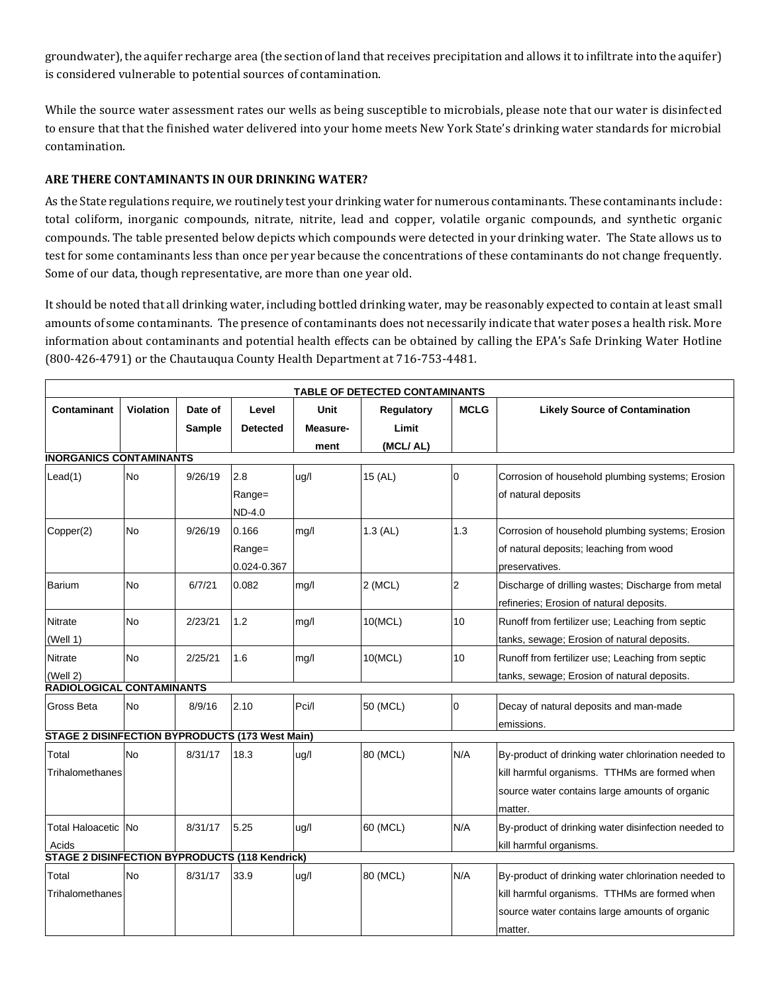groundwater), the aquifer recharge area (the section of land that receives precipitation and allows it to infiltrate into the aquifer) is considered vulnerable to potential sources of contamination.

While the source water assessment rates our wells as being susceptible to microbials, please note that our water is disinfected to ensure that that the finished water delivered into your home meets New York State's drinking water standards for microbial contamination.

# **ARE THERE CONTAMINANTS IN OUR DRINKING WATER?**

As the State regulations require, we routinely test your drinking water for numerous contaminants. These contaminants include: total coliform, inorganic compounds, nitrate, nitrite, lead and copper, volatile organic compounds, and synthetic organic compounds. The table presented below depicts which compounds were detected in your drinking water. The State allows us to test for some contaminants less than once per year because the concentrations of these contaminants do not change frequently. Some of our data, though representative, are more than one year old.

It should be noted that all drinking water, including bottled drinking water, may be reasonably expected to contain at least small amounts of some contaminants. The presence of contaminants does not necessarily indicate that water poses a health risk. More information about contaminants and potential health effects can be obtained by calling the EPA's Safe Drinking Water Hotline (800-426-4791) or the Chautauqua County Health Department at 716-753-4481.

| TABLE OF DETECTED CONTAMINANTS                         |                  |                   |                                |                          |                                 |             |                                                                                                                                                                   |  |  |  |  |
|--------------------------------------------------------|------------------|-------------------|--------------------------------|--------------------------|---------------------------------|-------------|-------------------------------------------------------------------------------------------------------------------------------------------------------------------|--|--|--|--|
| Contaminant                                            | <b>Violation</b> | Date of<br>Sample | Level<br><b>Detected</b>       | Unit<br>Measure-<br>ment | Regulatory<br>Limit<br>(MCL/AL) | <b>MCLG</b> | <b>Likely Source of Contamination</b>                                                                                                                             |  |  |  |  |
| <b>INORGANICS CONTAMINANTS</b>                         |                  |                   |                                |                          |                                 |             |                                                                                                                                                                   |  |  |  |  |
| Leaf(1)                                                | <b>No</b>        | 9/26/19           | 2.8<br>Range=<br><b>ND-4.0</b> | uq/l                     | 15 (AL)                         | 0           | Corrosion of household plumbing systems; Erosion<br>of natural deposits                                                                                           |  |  |  |  |
| Copper(2)                                              | <b>No</b>        | 9/26/19           | 0.166<br>Range=<br>0.024-0.367 | mg/l                     | 1.3 (AL)                        | 1.3         | Corrosion of household plumbing systems; Erosion<br>of natural deposits; leaching from wood<br>preservatives.                                                     |  |  |  |  |
| <b>Barium</b>                                          | No               | 6/7/21            | 0.082                          | mg/l                     | $2$ (MCL)                       | 2           | Discharge of drilling wastes; Discharge from metal<br>refineries; Erosion of natural deposits.                                                                    |  |  |  |  |
| Nitrate<br>(Well 1)                                    | No               | 2/23/21           | 1.2                            | mg/l                     | 10(MCL)                         | 10          | Runoff from fertilizer use; Leaching from septic<br>tanks, sewage; Erosion of natural deposits.                                                                   |  |  |  |  |
| Nitrate<br>(Well 2)                                    | <b>No</b>        | 2/25/21           | 1.6                            | mg/l                     | 10(MCL)                         | 10          | Runoff from fertilizer use; Leaching from septic<br>tanks, sewage; Erosion of natural deposits.                                                                   |  |  |  |  |
| RADIOLOGICAL CONTAMINANTS                              |                  |                   |                                |                          |                                 |             |                                                                                                                                                                   |  |  |  |  |
| Gross Beta                                             | <b>No</b>        | 8/9/16            | 2.10                           | Pci/l                    | 50 (MCL)                        | 0           | Decay of natural deposits and man-made<br>emissions.                                                                                                              |  |  |  |  |
| <b>STAGE 2 DISINFECTION BYPRODUCTS (173 West Main)</b> |                  |                   |                                |                          |                                 |             |                                                                                                                                                                   |  |  |  |  |
| Total<br>Trihalomethanes                               | <b>No</b>        | 8/31/17           | 18.3                           | uq/l                     | 80 (MCL)                        | N/A         | By-product of drinking water chlorination needed to<br>kill harmful organisms. TTHMs are formed when<br>source water contains large amounts of organic<br>matter. |  |  |  |  |
| Total Haloacetic No<br>Acids                           |                  | 8/31/17           | 5.25                           | uq/l                     | 60 (MCL)                        | N/A         | By-product of drinking water disinfection needed to<br>kill harmful organisms.                                                                                    |  |  |  |  |
| <b>STAGE 2 DISINFECTION BYPRODUCTS (118 Kendrick)</b>  |                  |                   |                                |                          |                                 |             |                                                                                                                                                                   |  |  |  |  |
| Total<br>Trihalomethanes                               | <b>No</b>        | 8/31/17           | 33.9                           | uq/l                     | 80 (MCL)                        | N/A         | By-product of drinking water chlorination needed to<br>kill harmful organisms. TTHMs are formed when<br>source water contains large amounts of organic<br>matter. |  |  |  |  |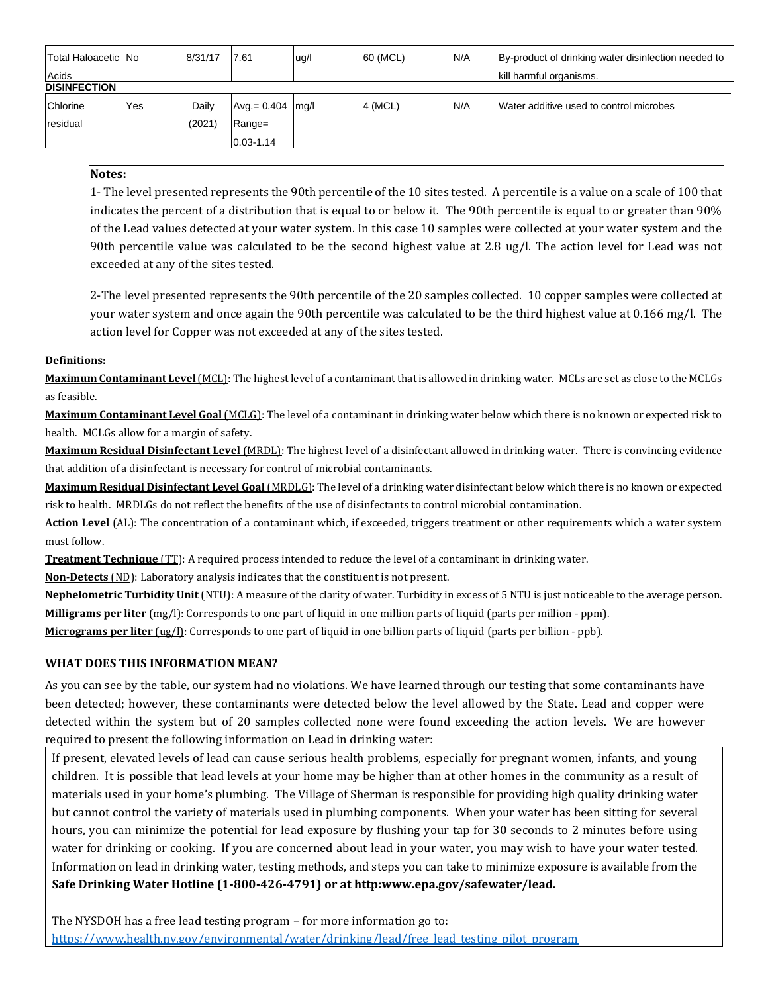| Total Haloacetic No<br>Acids |     | 8/31/17 | 7.61                | ug/l | 60 (MCL) | N/A | By-product of drinking water disinfection needed to<br>kill harmful organisms. |  |  |  |  |
|------------------------------|-----|---------|---------------------|------|----------|-----|--------------------------------------------------------------------------------|--|--|--|--|
| <b>DISINFECTION</b>          |     |         |                     |      |          |     |                                                                                |  |  |  |  |
| Chlorine                     | Yes | Daily   | $Avg = 0.404$  mg/l |      | 4 (MCL)  | N/A | Water additive used to control microbes                                        |  |  |  |  |
| residual                     |     | (2021)  | Range=              |      |          |     |                                                                                |  |  |  |  |
|                              |     |         | $0.03 - 1.14$       |      |          |     |                                                                                |  |  |  |  |

#### **Notes:**

1- The level presented represents the 90th percentile of the 10 sites tested. A percentile is a value on a scale of 100 that indicates the percent of a distribution that is equal to or below it. The 90th percentile is equal to or greater than 90% of the Lead values detected at your water system. In this case 10 samples were collected at your water system and the 90th percentile value was calculated to be the second highest value at 2.8 ug/l. The action level for Lead was not exceeded at any of the sites tested.

2-The level presented represents the 90th percentile of the 20 samples collected. 10 copper samples were collected at your water system and once again the 90th percentile was calculated to be the third highest value at 0.166 mg/l. The action level for Copper was not exceeded at any of the sites tested.

## **Definitions:**

**Maximum Contaminant Level**(MCL): The highest level of a contaminant that is allowed in drinking water. MCLs are set as close to the MCLGs as feasible.

**Maximum Contaminant Level Goal** (MCLG): The level of a contaminant in drinking water below which there is no known or expected risk to health. MCLGs allow for a margin of safety.

**Maximum Residual Disinfectant Level** (MRDL): The highest level of a disinfectant allowed in drinking water. There is convincing evidence that addition of a disinfectant is necessary for control of microbial contaminants.

**Maximum Residual Disinfectant Level Goal** (MRDLG): The level of a drinking water disinfectant below which there is no known or expected risk to health. MRDLGs do not reflect the benefits of the use of disinfectants to control microbial contamination.

**Action Level** (AL): The concentration of a contaminant which, if exceeded, triggers treatment or other requirements which a water system must follow.

**Treatment Technique** (TT): A required process intended to reduce the level of a contaminant in drinking water.

**Non-Detects** (ND): Laboratory analysis indicates that the constituent is not present.

**Nephelometric Turbidity Unit** (NTU): A measure of the clarity of water. Turbidity in excess of 5 NTU is just noticeable to the average person. **Milligrams per liter** (mg/l): Corresponds to one part of liquid in one million parts of liquid (parts per million - ppm).

**Micrograms per liter** (ug/l): Corresponds to one part of liquid in one billion parts of liquid (parts per billion - ppb).

# **WHAT DOES THIS INFORMATION MEAN?**

As you can see by the table, our system had no violations. We have learned through our testing that some contaminants have been detected; however, these contaminants were detected below the level allowed by the State. Lead and copper were detected within the system but of 20 samples collected none were found exceeding the action levels. We are however required to present the following information on Lead in drinking water:

If present, elevated levels of lead can cause serious health problems, especially for pregnant women, infants, and young children. It is possible that lead levels at your home may be higher than at other homes in the community as a result of materials used in your home's plumbing. The Village of Sherman is responsible for providing high quality drinking water but cannot control the variety of materials used in plumbing components. When your water has been sitting for several hours, you can minimize the potential for lead exposure by flushing your tap for 30 seconds to 2 minutes before using water for drinking or cooking. If you are concerned about lead in your water, you may wish to have your water tested. Information on lead in drinking water, testing methods, and steps you can take to minimize exposure is available from the **Safe Drinking Water Hotline (1-800-426-4791) or at http:www.epa.gov/safewater/lead.**

The NYSDOH has a free lead testing program – for more information go to: [https://www.health.ny.gov/environmental/water/drinking/lead/free\\_lead\\_testing\\_pilot\\_program](https://www.health.ny.gov/environmental/water/drinking/lead/free_lead_testing_pilot_program)